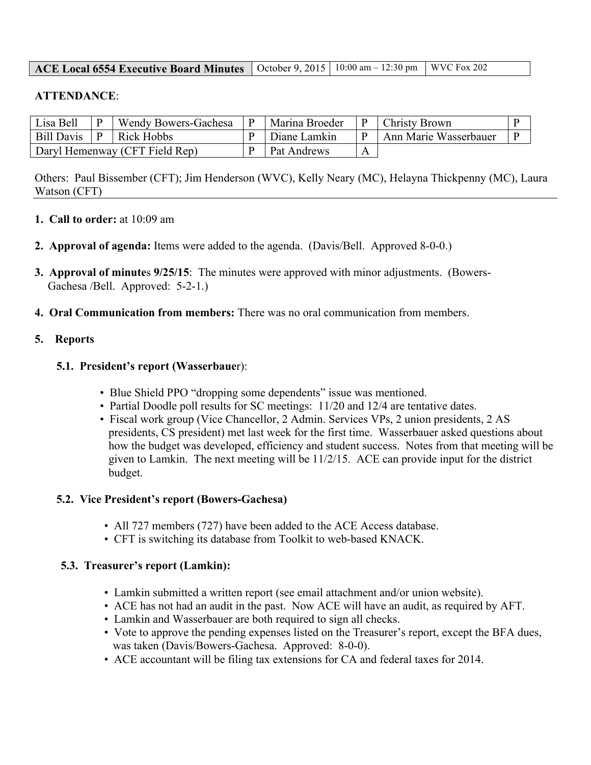### **ACE Local 6554 Executive Board Minutes** | October 9, 2015 | 10:00 am – 12:30 pm | WVC Fox 202

### **ATTENDANCE**:

| Lisa Bell                      |  | Wendy Bowers-Gachesa | Marina Broeder     |   | <b>Christy Brown</b>  |  |
|--------------------------------|--|----------------------|--------------------|---|-----------------------|--|
| Bill Davis                     |  | Rick Hobbs           | Diane Lamkin       |   | Ann Marie Wasserbauer |  |
| Daryl Hemenway (CFT Field Rep) |  |                      | <b>Pat Andrews</b> | A |                       |  |

Others: Paul Bissember (CFT); Jim Henderson (WVC), Kelly Neary (MC), Helayna Thickpenny (MC), Laura Watson (CFT)

- **1. Call to order:** at 10:09 am
- **2. Approval of agenda:** Items were added to the agenda. (Davis/Bell. Approved 8-0-0.)
- **3. Approval of minute**s **9/25/15**: The minutes were approved with minor adjustments. (Bowers-Gachesa /Bell. Approved: 5-2-1.)
- **4. Oral Communication from members:** There was no oral communication from members.

### **5. Reports**

### **5.1. President's report (Wasserbaue**r):

- Blue Shield PPO "dropping some dependents" issue was mentioned.
- Partial Doodle poll results for SC meetings: 11/20 and 12/4 are tentative dates.
- Fiscal work group (Vice Chancellor, 2 Admin. Services VPs, 2 union presidents, 2 AS presidents, CS president) met last week for the first time. Wasserbauer asked questions about how the budget was developed, efficiency and student success. Notes from that meeting will be given to Lamkin. The next meeting will be 11/2/15. ACE can provide input for the district budget.

#### **5.2. Vice President's report (Bowers-Gachesa)**

- All 727 members (727) have been added to the ACE Access database.
- CFT is switching its database from Toolkit to web-based KNACK.

#### **5.3. Treasurer's report (Lamkin):**

- Lamkin submitted a written report (see email attachment and/or union website).
- ACE has not had an audit in the past. Now ACE will have an audit, as required by AFT.
- Lamkin and Wasserbauer are both required to sign all checks.
- Vote to approve the pending expenses listed on the Treasurer's report, except the BFA dues, was taken (Davis/Bowers-Gachesa. Approved: 8-0-0).
- ACE accountant will be filing tax extensions for CA and federal taxes for 2014.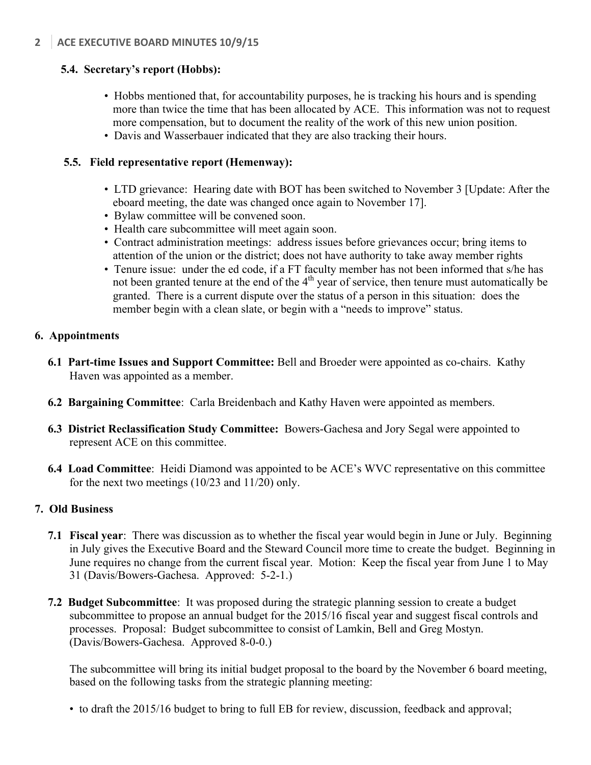# **5.4. Secretary's report (Hobbs):**

- Hobbs mentioned that, for accountability purposes, he is tracking his hours and is spending more than twice the time that has been allocated by ACE. This information was not to request more compensation, but to document the reality of the work of this new union position.
- Davis and Wasserbauer indicated that they are also tracking their hours.

## **5.5. Field representative report (Hemenway):**

- LTD grievance: Hearing date with BOT has been switched to November 3 [Update: After the eboard meeting, the date was changed once again to November 17].
- Bylaw committee will be convened soon.
- Health care subcommittee will meet again soon.
- Contract administration meetings: address issues before grievances occur; bring items to attention of the union or the district; does not have authority to take away member rights
- Tenure issue: under the ed code, if a FT faculty member has not been informed that s/he has not been granted tenure at the end of the  $4<sup>th</sup>$  year of service, then tenure must automatically be granted. There is a current dispute over the status of a person in this situation: does the member begin with a clean slate, or begin with a "needs to improve" status.

## **6. Appointments**

- **6.1 Part-time Issues and Support Committee:** Bell and Broeder were appointed as co-chairs. Kathy Haven was appointed as a member.
- **6.2 Bargaining Committee**: Carla Breidenbach and Kathy Haven were appointed as members.
- **6.3 District Reclassification Study Committee:** Bowers-Gachesa and Jory Segal were appointed to represent ACE on this committee.
- **6.4 Load Committee**: Heidi Diamond was appointed to be ACE's WVC representative on this committee for the next two meetings (10/23 and 11/20) only.

## **7. Old Business**

- **7.1 Fiscal year**: There was discussion as to whether the fiscal year would begin in June or July. Beginning in July gives the Executive Board and the Steward Council more time to create the budget. Beginning in June requires no change from the current fiscal year. Motion: Keep the fiscal year from June 1 to May 31 (Davis/Bowers-Gachesa. Approved: 5-2-1.)
- **7.2 Budget Subcommittee**: It was proposed during the strategic planning session to create a budget subcommittee to propose an annual budget for the 2015/16 fiscal year and suggest fiscal controls and processes. Proposal: Budget subcommittee to consist of Lamkin, Bell and Greg Mostyn. (Davis/Bowers-Gachesa. Approved 8-0-0.)

The subcommittee will bring its initial budget proposal to the board by the November 6 board meeting, based on the following tasks from the strategic planning meeting:

• to draft the 2015/16 budget to bring to full EB for review, discussion, feedback and approval;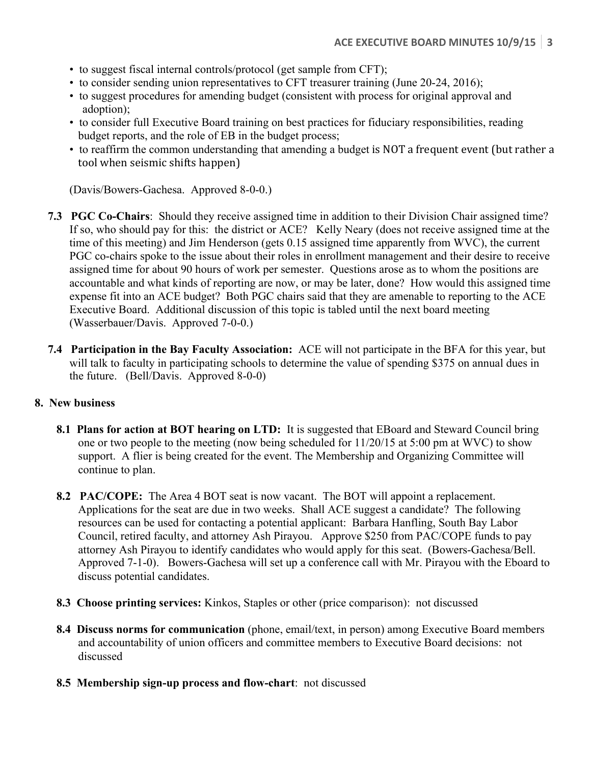- to suggest fiscal internal controls/protocol (get sample from CFT);
- to consider sending union representatives to CFT treasurer training (June 20-24, 2016);
- to suggest procedures for amending budget (consistent with process for original approval and adoption);
- to consider full Executive Board training on best practices for fiduciary responsibilities, reading budget reports, and the role of EB in the budget process;
- to reaffirm the common understanding that amending a budget is NOT a frequent event (but rather a tool when seismic shifts happen)

(Davis/Bowers-Gachesa. Approved 8-0-0.)

- **7.3 PGC Co-Chairs**: Should they receive assigned time in addition to their Division Chair assigned time? If so, who should pay for this: the district or ACE? Kelly Neary (does not receive assigned time at the time of this meeting) and Jim Henderson (gets 0.15 assigned time apparently from WVC), the current PGC co-chairs spoke to the issue about their roles in enrollment management and their desire to receive assigned time for about 90 hours of work per semester. Questions arose as to whom the positions are accountable and what kinds of reporting are now, or may be later, done? How would this assigned time expense fit into an ACE budget? Both PGC chairs said that they are amenable to reporting to the ACE Executive Board. Additional discussion of this topic is tabled until the next board meeting (Wasserbauer/Davis. Approved 7-0-0.)
- **7.4 Participation in the Bay Faculty Association:** ACE will not participate in the BFA for this year, but will talk to faculty in participating schools to determine the value of spending \$375 on annual dues in the future. (Bell/Davis. Approved 8-0-0)

#### **8. New business**

- **8.1 Plans for action at BOT hearing on LTD:** It is suggested that EBoard and Steward Council bring one or two people to the meeting (now being scheduled for 11/20/15 at 5:00 pm at WVC) to show support. A flier is being created for the event. The Membership and Organizing Committee will continue to plan.
- **8.2 PAC/COPE:** The Area 4 BOT seat is now vacant. The BOT will appoint a replacement. Applications for the seat are due in two weeks. Shall ACE suggest a candidate? The following resources can be used for contacting a potential applicant: Barbara Hanfling, South Bay Labor Council, retired faculty, and attorney Ash Pirayou. Approve \$250 from PAC/COPE funds to pay attorney Ash Pirayou to identify candidates who would apply for this seat. (Bowers-Gachesa/Bell. Approved 7-1-0). Bowers-Gachesa will set up a conference call with Mr. Pirayou with the Eboard to discuss potential candidates.
- **8.3 Choose printing services:** Kinkos, Staples or other (price comparison): not discussed
- **8.4 Discuss norms for communication** (phone, email/text, in person) among Executive Board members and accountability of union officers and committee members to Executive Board decisions: not discussed
- **8.5 Membership sign-up process and flow-chart**: not discussed